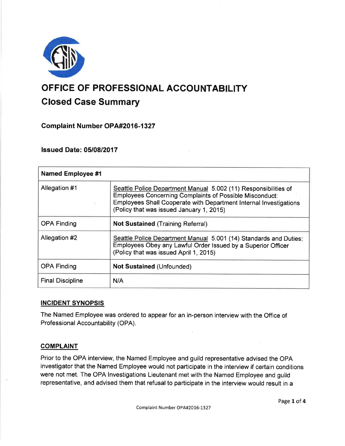

# OFFICE OF PROFESSIONAL ACCOUNTABILITY Closed Case Summary

Complaint Number OPA#2016-1327

lssued Date: 0510812017

| <b>Named Employee #1</b> |                                                                                                                                                                                                                                                    |
|--------------------------|----------------------------------------------------------------------------------------------------------------------------------------------------------------------------------------------------------------------------------------------------|
| Allegation #1            | Seattle Police Department Manual 5.002 (11) Responsibilities of<br><b>Employees Concerning Complaints of Possible Misconduct:</b><br>Employees Shall Cooperate with Department Internal Investigations<br>(Policy that was issued January 1, 2015) |
| <b>OPA Finding</b>       | <b>Not Sustained (Training Referral)</b>                                                                                                                                                                                                           |
| Allegation #2            | Seattle Police Department Manual 5.001 (14) Standards and Duties:<br>Employees Obey any Lawful Order Issued by a Superior Officer<br>(Policy that was issued April 1, 2015)                                                                        |
| <b>OPA Finding</b>       | <b>Not Sustained (Unfounded)</b>                                                                                                                                                                                                                   |
| <b>Final Discipline</b>  | N/A                                                                                                                                                                                                                                                |

# INCIDENT SYNOPSIS

The Named Employee was ordered to appear for an in-person interview with the Office of Professional Accountability (OPA).

# **COMPLAINT**

Prior to the OPA interview, the Named Employee and guild representative advised the OPA investigator that the Named Employee would not participate in the interview if certain conditions were not met. The OPA lnvestigations Lieutenant met with the Named Employee and guild representative, and advised them that refusal to participate in the interview would result in a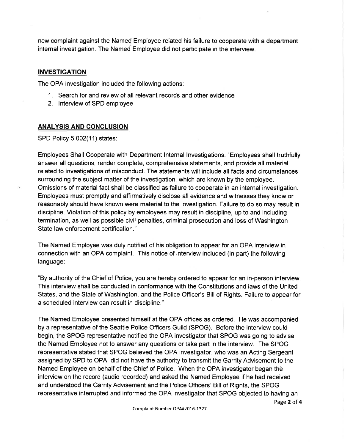new complaint against the Named Employee related his failure to cooperate with a department internal investigation. The Named Employee did not participate in the interview.

## INVESTIGATION

The OPA investigation included the following actions:

- 1. Search for and review of all relevant records and other evidence
- 2. lnterview of SPD employee

### ANALYSIS AND CONCLUSION

SPD Policy 5.002(11) states:

Employees Shall Cooperate with Department lnternal lnvestigations: "Employees shall truthfully answer all questions, render complete, comprehensive statements, and provide all material related to investigations of misconduct. The statements will include all facts and circumstances surrounding the subject matter of the investigation, which are known by the employee. Omissions of material fact shall be classified as failure to cooperate in an internal investigation. Employees must promptly and affirmatively disclose all evidence and witnesses they know or reasonably should have known were material to the investigation. Failure to do so may result in discipline. Violation of this policy by employees may result in discipline, up to and including termination, as well as possible civil penalties, criminal prosecution and loss of Washington State law enforcement certification. "

The Named Employee was duly notified of his obligation to appear for an OPA interview in connection with an OPA complaint. This notice of interview included (in part) the following language:

"By authority of the Chief of Police, you are hereby ordered to appear for an in-person interview. This interview shall be conducted in conformance with the Constitutions and laws of the United States, and the State of Washington, and the Police Officer's Bill of Rights. Failure to appear for a scheduled interview can result in discipline."

The Named Employee presented himself at the OPA offices as ordered. He was accompanied by a representative of the Seattle Police Officers Guild (SPOG). Before the interview could begin, the SPOG representative notified the OPA investigator that SPOG was going to advise the Named Employee not to answer any questions or take part in the interview. The SPOG representative stated that SPOG believed the OPA investigator, who was an Acting Sergeant assigned by SPD to OPA, did not have the authority to transmit the Garrity Advisement to the Named Employee on behalf of the Chief of Police. When the OPA investigator began the interview on the record (audio recorded) and asked the Named Employee if he had received and understood the Garrity Advisement and the Police Officers' Bill of Rights, the SPOG representative interrupted and informed the OPA investigator that SPOG objected to having an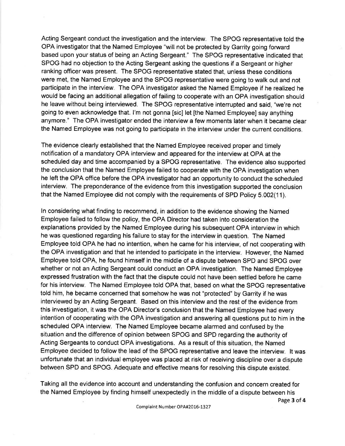Acting Sergeant conduct the investigation and the interview. The SPOG representative told the OPA investigator that the Named Employee "will not be protected by Garrity going forward based upon your status of being an Acting Sergeant." The SPOG representative indicated that SPOG had no objection to the Acting Sergeant asking the questions if a Sergeant or higher ranking officer was present. The SPOG representative stated that, unless these conditions were met, the Named Employee and the SPOG representative were going to walk out and not participate in the interview. The OPA investigator asked the Named Employee if he realized he would be facing an additional allegation of failing to cooperate with an OPA investigation should he leave without being interviewed. The SPOG representative interrupted and said, "we're not going to even acknowledge that. l'm not gonna [sic] let [the Named Employee] say anything anymore." The OPA investigator ended the interview a few moments later when it became clear the Named Employee was not going to participate in the interview under the current conditions.

The evidence clearly established that the Named Employee received proper and timely notification of a mandatory OPA interview and appeared for the interview at OPA at the scheduled day and time accompanied by a SPOG representative. The evidence also supported the conclusion that the Named Employee failed to cooperate with the OPA investigation when he left the OPA office before the OPA investigator had an opportunity to conduct the scheduled interview. The preponderance of the evidence from this investigation supported the conclusion that the Named Employee did not comply with the requirements of SPD Policy 5.002(11).

ln considering what finding to recommend, in addition to the evidence showing the Named Employee failed to follow the policy, the OPA Director had taken into consideration the explanations provided by the Named Employee during his subsequent OPA interview in which he was questioned regarding his failure to stay for the interview in question. The Named Employee told OPA he had no intention, when he came for his interview, of not cooperating with the OPA investigation and that he intended to participate in the interview. However, the Named Employee told OPA, he found himself in the middle of a dispute between SPD and SPOG over whether or not an Acting Sergeant could conduct an OPA investigation. The Named Employee expressed frustration with the fact that the dispute could not have been settled before he came for his interview. The Named Employee told OPA that, based on what the SPOG representative told him, he became concerned that somehow he was not "protected" by Garrity if he was interviewed by an Acting Sergeant. Based on this interview and the rest of the evidence from this investigation, it was the OPA Director's conclusion that the Named Employee had every intention of cooperating with the OPA investigation and answering all questions put to him in the scheduled OPA interview. The Named Employee became alarmed and confused by the situation and the difference of opinion between SPOG and SPD regarding the authority of Acting Sergeants to conduct OPA investigations. As a result of this situation, the Named Employee decided to follow the lead of the SPOG representative and leave the interview. lt was unfortunate that an individual employee was placed at risk of receiving discipline over a dispute between SPD and SPOG. Adequate and effective means for resolving this dispute existed.

Taking all the evidence into account and understanding the confusion and concern created for the Named Employee by finding himself unexpectedly in the middle of a dispute between his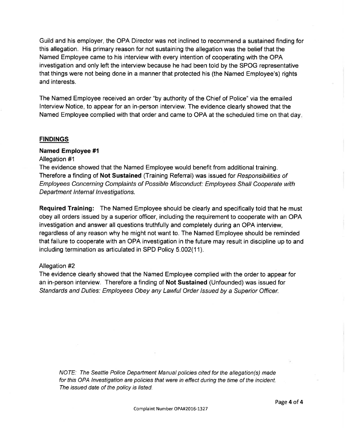Guild and his employer, the OPA Director was not inclined to recommend a sustained finding for this allegation. His primary reason for not sustaining the allegation was the belief that the Named Employee came to his interview with every intention of cooperating with the OPA investigation and only left the interview because he had been told by the SPOG representative that things were not being done in a manner that protected his (the Named Employee's) rights and interests.

The Named Employee received an order "by authority of the Chief of Police" via the emailed lnterview Notice, to appear for an in-person interview. The evidence clearly showed that the Named Employee complied with that order and came to OPA at the scheduled time on that day

#### **FINDINGS**

#### Named Employee #l

Allegation #1

The evidence showed that the Named Employee would benefit from additional training. Therefore a finding of Not Sustained (Training Referral) was issued for Responsibilities of Employees Concerning Complaints of Possible Misconduct: Employees Shall Cooperate with Department Internal Investigations.

Required Training: The Named Employee should be clearly and specifically told that he must obey all orders issued by a superior officer, including the requirement to cooperate with an OPA investigation and answer all questions truthfully and completely during an OPA interview, regardless of any reason why he might not want to. The Named Employee should be reminded that failure to cooperate with an OPA investigation in the future may result in discipline up to and including termination as articulated in SPD Policy 5.002(11).

#### Allegation #2

The evidence clearly showed that the Named Employee complied with the order to appear for an in-person interview. Therefore a finding of Not Sustained (Unfounded) was issued for Standards and Duties: Employees Obey any Lawful Order Issued by a Superior Officer.

NOTE: The Seattle Police Department Manual policies cited for the allegation(s) made for this OPA lnvestigation are policies that were in effect during the time of the incident. The issued date of the policy is listed.